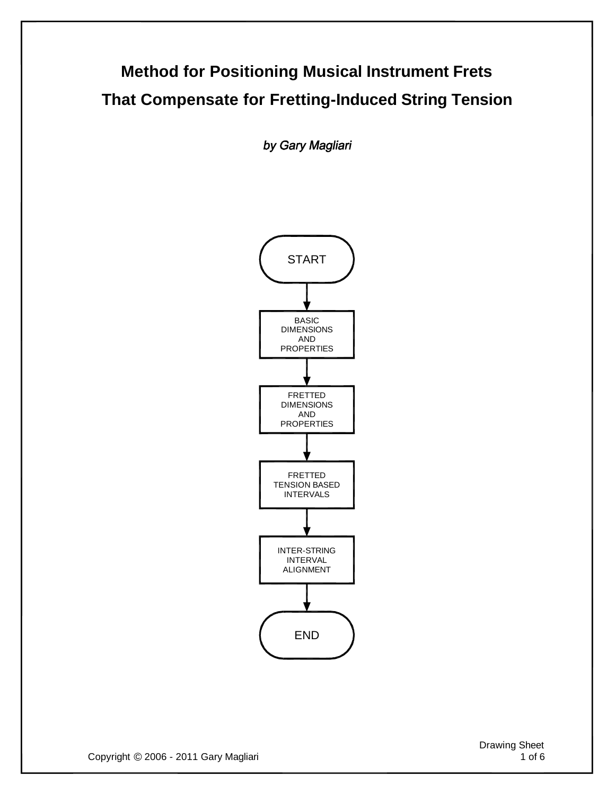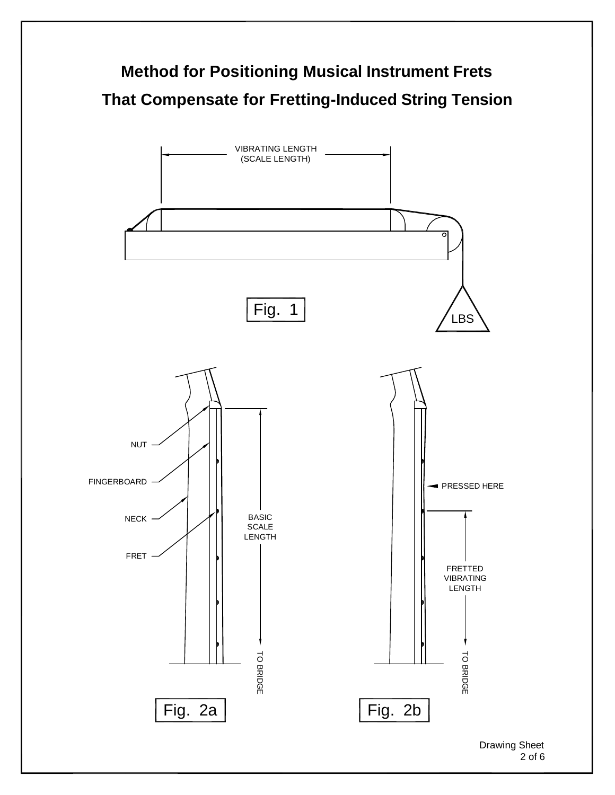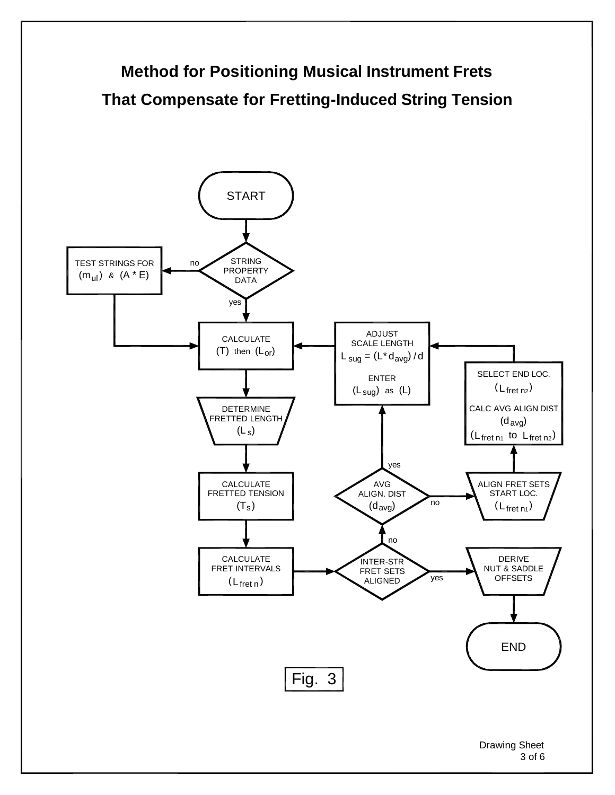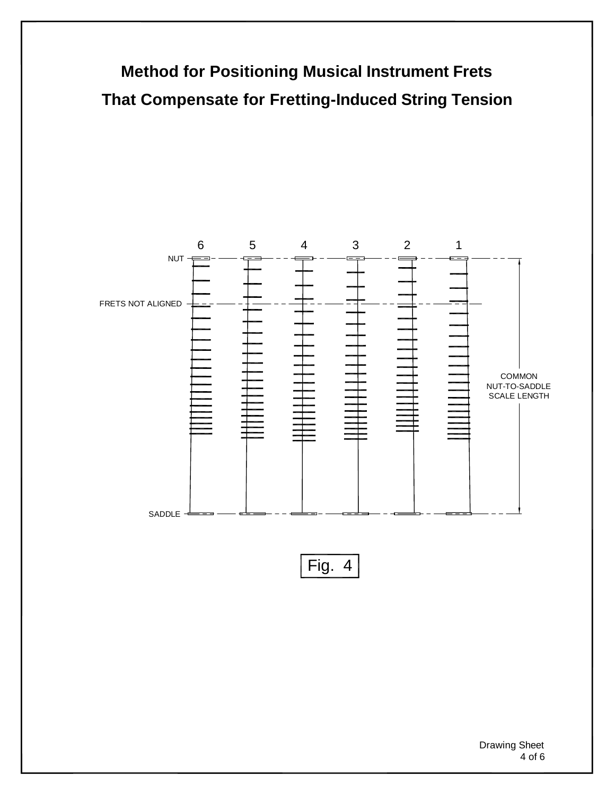

Drawing Sheet 4 of 6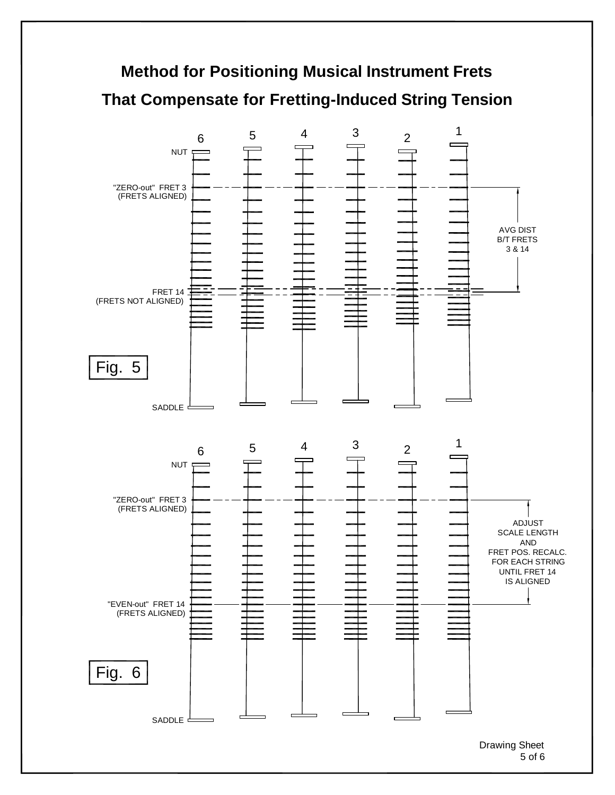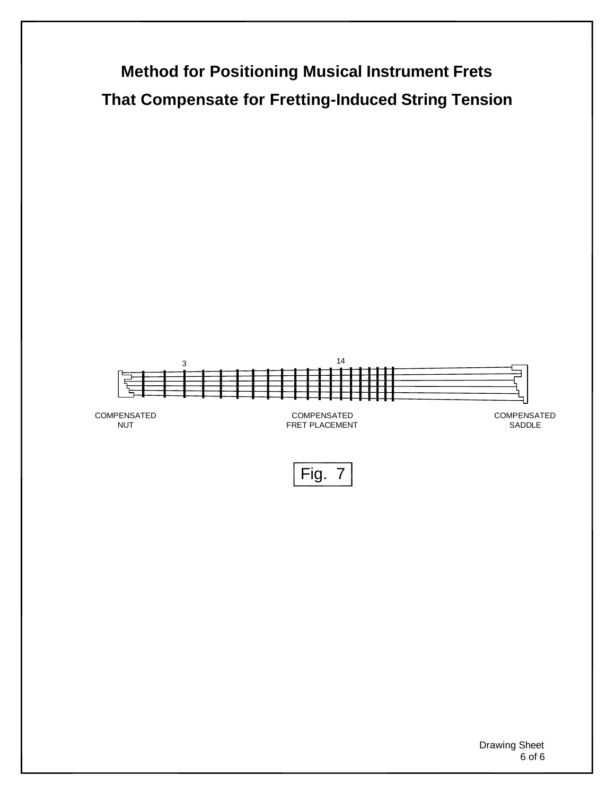

Drawing Sheet 6 of 6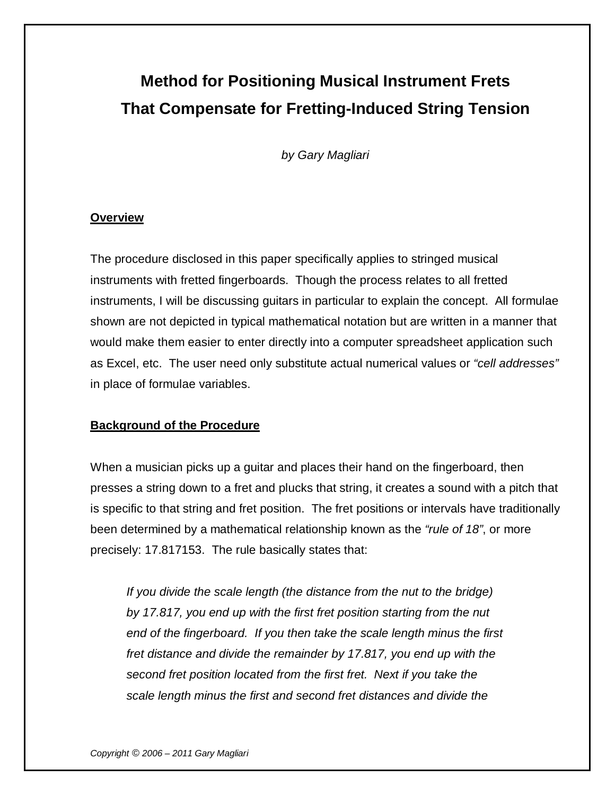# **Method for Positioning Musical Instrument Frets That Compensate for Fretting-Induced String Tension**

*by Gary Magliari*

#### **Overview**

The procedure disclosed in this paper specifically applies to stringed musical instruments with fretted fingerboards. Though the process relates to all fretted instruments, I will be discussing guitars in particular to explain the concept. All formulae shown are not depicted in typical mathematical notation but are written in a manner that would make them easier to enter directly into a computer spreadsheet application such as Excel, etc. The user need only substitute actual numerical values or *"cell addresses"*  in place of formulae variables.

## **Background of the Procedure**

When a musician picks up a guitar and places their hand on the fingerboard, then presses a string down to a fret and plucks that string, it creates a sound with a pitch that is specific to that string and fret position. The fret positions or intervals have traditionally been determined by a mathematical relationship known as the *"rule of 18"*, or more precisely: 17.817153. The rule basically states that:

*If you divide the scale length (the distance from the nut to the bridge) by 17.817, you end up with the first fret position starting from the nut end of the fingerboard. If you then take the scale length minus the first fret distance and divide the remainder by 17.817, you end up with the second fret position located from the first fret. Next if you take the scale length minus the first and second fret distances and divide the*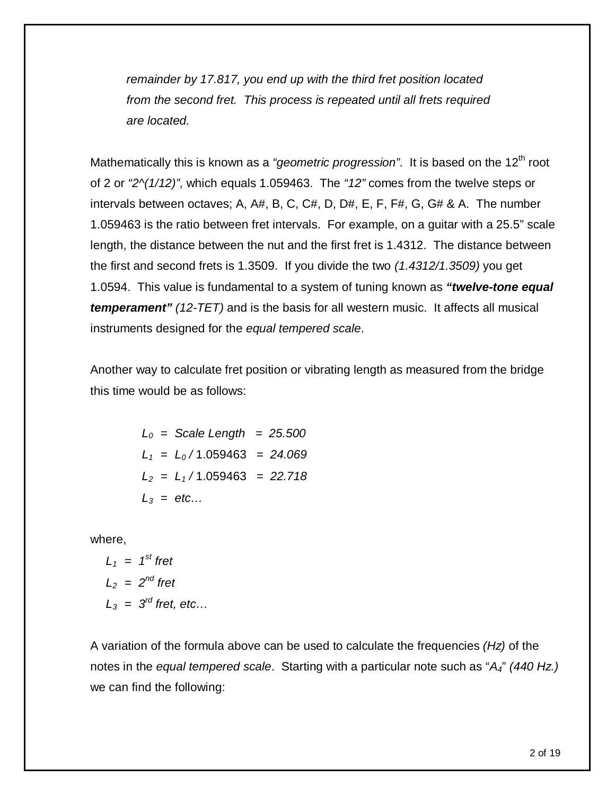*remainder by 17.817, you end up with the third fret position located from the second fret. This process is repeated until all frets required are located.*

Mathematically this is known as a "geometric progression". It is based on the 12<sup>th</sup> root of 2 or *"2^(1/12)"*, which equals 1.059463. The *"12"* comes from the twelve steps or intervals between octaves; A, A#, B, C, C#, D, D#, E, F, F#, G, G# & A. The number 1.059463 is the ratio between fret intervals. For example, on a guitar with a 25.5" scale length, the distance between the nut and the first fret is 1.4312. The distance between the first and second frets is 1.3509. If you divide the two *(1.4312/1.3509)* you get 1.0594. This value is fundamental to a system of tuning known as *"twelve-tone equal temperament" (12-TET)* and is the basis for all western music. It affects all musical instruments designed for the *equal tempered scale*.

Another way to calculate fret position or vibrating length as measured from the bridge this time would be as follows:

> *L<sup>0</sup> = Scale Length = 25.500 L<sup>1</sup> = L<sup>0</sup> /* 1.059463 *= 24.069 L<sup>2</sup> = L<sup>1</sup> /* 1.059463 *= 22.718 L<sup>3</sup> = etc…*

where,

$$
L_1 = 1^{st} \text{ fret}
$$
  
\n
$$
L_2 = 2^{nd} \text{ fret}
$$
  
\n
$$
L_3 = 3^{rd} \text{ fret, etc...}
$$

A variation of the formula above can be used to calculate the frequencies *(Hz)* of the notes in the *equal tempered scale*. Starting with a particular note such as "*A4*" *(440 Hz.)* we can find the following: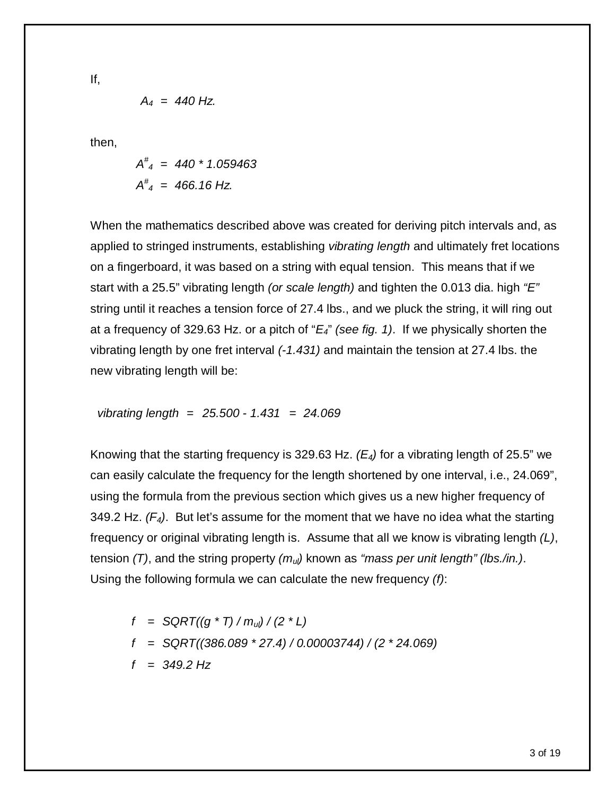If,

$$
A_4 = 440 \text{ Hz.}
$$

then,

$$
A^{\#}_4 = 440 * 1.059463
$$
  

$$
A^{\#}_4 = 466.16 \text{ Hz.}
$$

When the mathematics described above was created for deriving pitch intervals and, as applied to stringed instruments, establishing *vibrating length* and ultimately fret locations on a fingerboard, it was based on a string with equal tension. This means that if we start with a 25.5" vibrating length *(or scale length)* and tighten the 0.013 dia. high *"E"* string until it reaches a tension force of 27.4 lbs., and we pluck the string, it will ring out at a frequency of 329.63 Hz. or a pitch of "*E4*" *(see fig. 1)*. If we physically shorten the vibrating length by one fret interval *(-1.431)* and maintain the tension at 27.4 lbs. the new vibrating length will be:

vibrating length = 
$$
25.500 - 1.431 = 24.069
$$

Knowing that the starting frequency is 329.63 Hz. *(E4)* for a vibrating length of 25.5" we can easily calculate the frequency for the length shortened by one interval, i.e., 24.069", using the formula from the previous section which gives us a new higher frequency of 349.2 Hz. *(F4)*. But let's assume for the moment that we have no idea what the starting frequency or original vibrating length is. Assume that all we know is vibrating length *(L)*, tension *(T)*, and the string property *(mul)* known as *"mass per unit length" (lbs./in.)*. Using the following formula we can calculate the new frequency *(f)*:

$$
f = \text{SGRT}((g * T) / m_{\text{ul}}) / (2 * L)
$$
\n
$$
f = \text{SGRT}((386.089 * 27.4) / 0.00003744) / (2 * 24.069)
$$
\n
$$
f = 349.2 \text{ Hz}
$$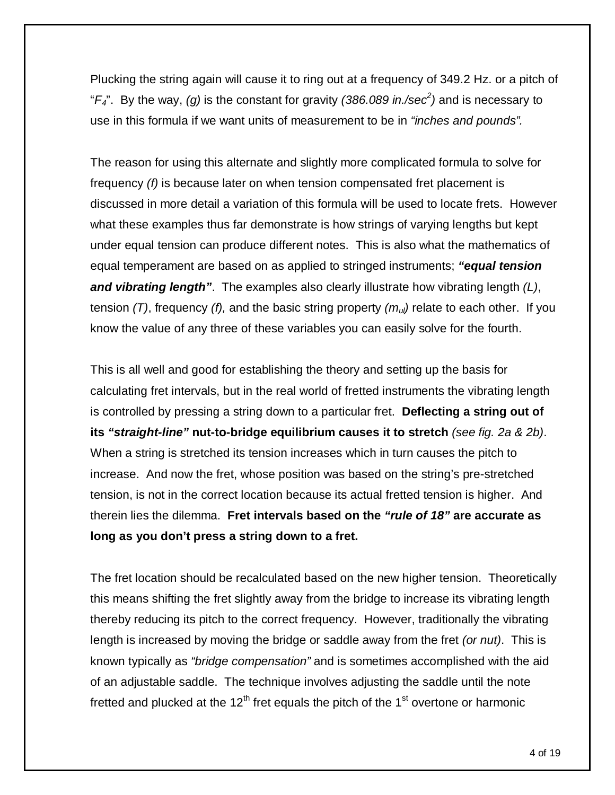Plucking the string again will cause it to ring out at a frequency of 349.2 Hz. or a pitch of "*F4*". By the way, *(g)* is the constant for gravity *(386.089 in./sec<sup>2</sup> )* and is necessary to use in this formula if we want units of measurement to be in *"inches and pounds".*

The reason for using this alternate and slightly more complicated formula to solve for frequency *(f)* is because later on when tension compensated fret placement is discussed in more detail a variation of this formula will be used to locate frets. However what these examples thus far demonstrate is how strings of varying lengths but kept under equal tension can produce different notes. This is also what the mathematics of equal temperament are based on as applied to stringed instruments; *"equal tension and vibrating length"*. The examples also clearly illustrate how vibrating length *(L)*, tension *(T)*, frequency *(f),* and the basic string property *(mul)* relate to each other. If you know the value of any three of these variables you can easily solve for the fourth.

This is all well and good for establishing the theory and setting up the basis for calculating fret intervals, but in the real world of fretted instruments the vibrating length is controlled by pressing a string down to a particular fret. **Deflecting a string out of its** *"straight-line"* **nut-to-bridge equilibrium causes it to stretch** *(see fig. 2a & 2b)*. When a string is stretched its tension increases which in turn causes the pitch to increase. And now the fret, whose position was based on the string's pre-stretched tension, is not in the correct location because its actual fretted tension is higher. And therein lies the dilemma. **Fret intervals based on the** *"rule of 18"* **are accurate as long as you don't press a string down to a fret.**

The fret location should be recalculated based on the new higher tension. Theoretically this means shifting the fret slightly away from the bridge to increase its vibrating length thereby reducing its pitch to the correct frequency. However, traditionally the vibrating length is increased by moving the bridge or saddle away from the fret *(or nut)*. This is known typically as *"bridge compensation"* and is sometimes accomplished with the aid of an adjustable saddle. The technique involves adjusting the saddle until the note fretted and plucked at the  $12<sup>th</sup>$  fret equals the pitch of the 1<sup>st</sup> overtone or harmonic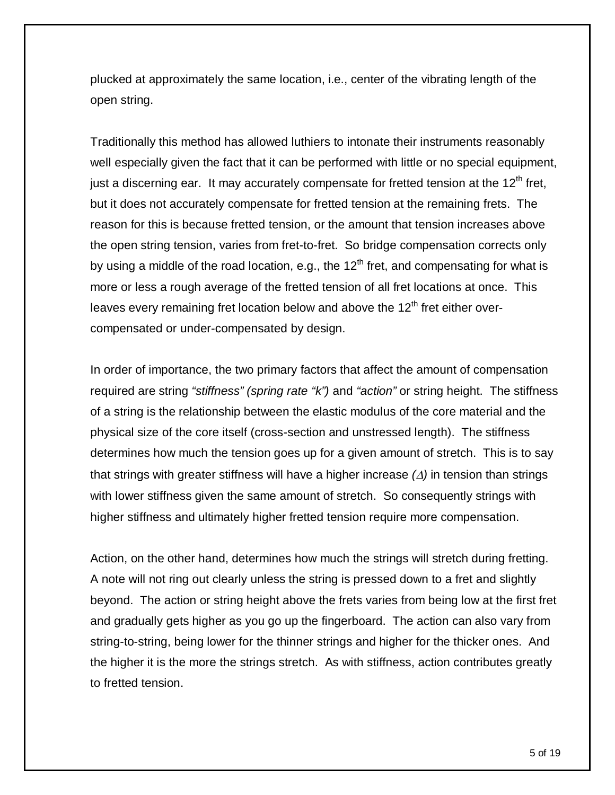plucked at approximately the same location, i.e., center of the vibrating length of the open string.

Traditionally this method has allowed luthiers to intonate their instruments reasonably well especially given the fact that it can be performed with little or no special equipment, just a discerning ear. It may accurately compensate for fretted tension at the  $12<sup>th</sup>$  fret, but it does not accurately compensate for fretted tension at the remaining frets. The reason for this is because fretted tension, or the amount that tension increases above the open string tension, varies from fret-to-fret. So bridge compensation corrects only by using a middle of the road location, e.g., the  $12<sup>th</sup>$  fret, and compensating for what is more or less a rough average of the fretted tension of all fret locations at once. This leaves every remaining fret location below and above the  $12<sup>th</sup>$  fret either overcompensated or under-compensated by design.

In order of importance, the two primary factors that affect the amount of compensation required are string *"stiffness" (spring rate "k")* and *"action"* or string height. The stiffness of a string is the relationship between the elastic modulus of the core material and the physical size of the core itself (cross-section and unstressed length). The stiffness determines how much the tension goes up for a given amount of stretch. This is to say that strings with greater stiffness will have a higher increase  $(\Delta)$  in tension than strings with lower stiffness given the same amount of stretch. So consequently strings with higher stiffness and ultimately higher fretted tension require more compensation.

Action, on the other hand, determines how much the strings will stretch during fretting. A note will not ring out clearly unless the string is pressed down to a fret and slightly beyond. The action or string height above the frets varies from being low at the first fret and gradually gets higher as you go up the fingerboard. The action can also vary from string-to-string, being lower for the thinner strings and higher for the thicker ones. And the higher it is the more the strings stretch. As with stiffness, action contributes greatly to fretted tension.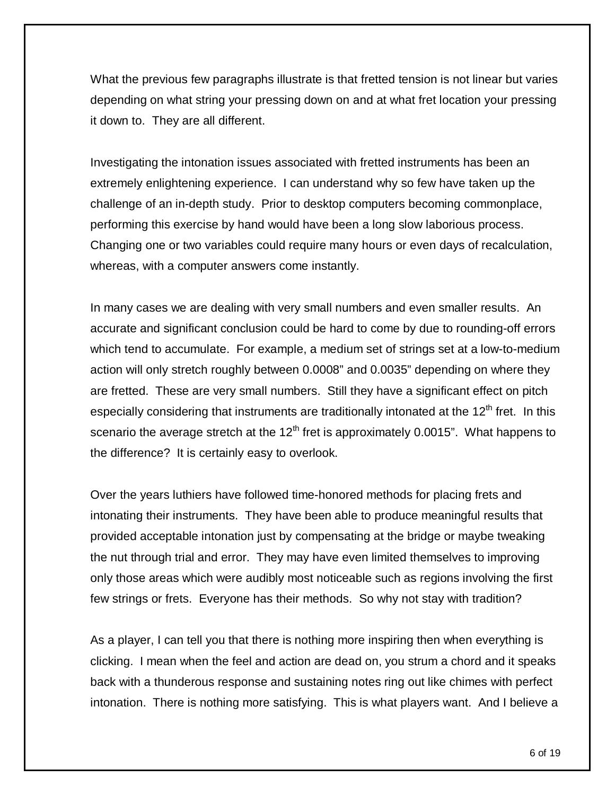What the previous few paragraphs illustrate is that fretted tension is not linear but varies depending on what string your pressing down on and at what fret location your pressing it down to. They are all different.

Investigating the intonation issues associated with fretted instruments has been an extremely enlightening experience. I can understand why so few have taken up the challenge of an in-depth study. Prior to desktop computers becoming commonplace, performing this exercise by hand would have been a long slow laborious process. Changing one or two variables could require many hours or even days of recalculation, whereas, with a computer answers come instantly.

In many cases we are dealing with very small numbers and even smaller results. An accurate and significant conclusion could be hard to come by due to rounding-off errors which tend to accumulate. For example, a medium set of strings set at a low-to-medium action will only stretch roughly between 0.0008" and 0.0035" depending on where they are fretted. These are very small numbers. Still they have a significant effect on pitch especially considering that instruments are traditionally intonated at the  $12<sup>th</sup>$  fret. In this scenario the average stretch at the  $12<sup>th</sup>$  fret is approximately 0.0015". What happens to the difference? It is certainly easy to overlook.

Over the years luthiers have followed time-honored methods for placing frets and intonating their instruments. They have been able to produce meaningful results that provided acceptable intonation just by compensating at the bridge or maybe tweaking the nut through trial and error. They may have even limited themselves to improving only those areas which were audibly most noticeable such as regions involving the first few strings or frets. Everyone has their methods. So why not stay with tradition?

As a player, I can tell you that there is nothing more inspiring then when everything is clicking. I mean when the feel and action are dead on, you strum a chord and it speaks back with a thunderous response and sustaining notes ring out like chimes with perfect intonation. There is nothing more satisfying. This is what players want. And I believe a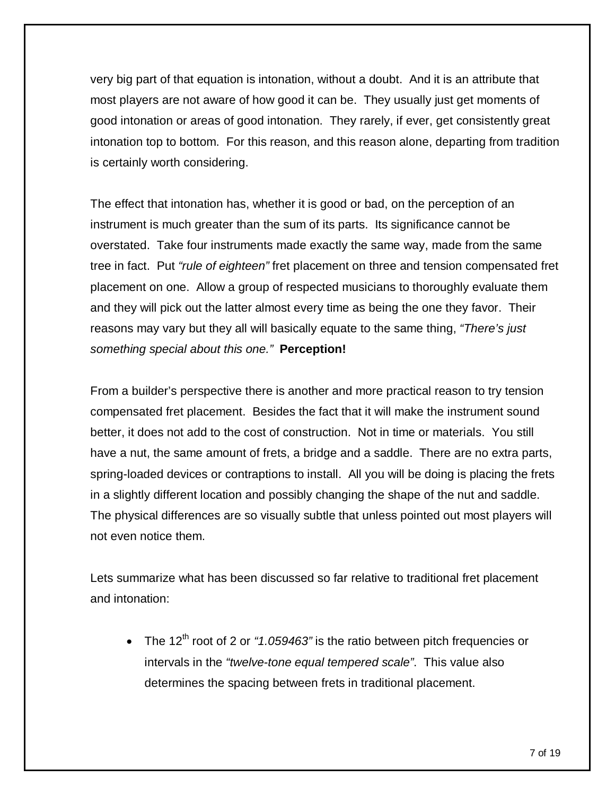very big part of that equation is intonation, without a doubt. And it is an attribute that most players are not aware of how good it can be. They usually just get moments of good intonation or areas of good intonation. They rarely, if ever, get consistently great intonation top to bottom. For this reason, and this reason alone, departing from tradition is certainly worth considering.

The effect that intonation has, whether it is good or bad, on the perception of an instrument is much greater than the sum of its parts. Its significance cannot be overstated. Take four instruments made exactly the same way, made from the same tree in fact. Put *"rule of eighteen"* fret placement on three and tension compensated fret placement on one. Allow a group of respected musicians to thoroughly evaluate them and they will pick out the latter almost every time as being the one they favor. Their reasons may vary but they all will basically equate to the same thing, *"There's just something special about this one."* **Perception!**

From a builder's perspective there is another and more practical reason to try tension compensated fret placement. Besides the fact that it will make the instrument sound better, it does not add to the cost of construction. Not in time or materials. You still have a nut, the same amount of frets, a bridge and a saddle. There are no extra parts, spring-loaded devices or contraptions to install. All you will be doing is placing the frets in a slightly different location and possibly changing the shape of the nut and saddle. The physical differences are so visually subtle that unless pointed out most players will not even notice them.

Lets summarize what has been discussed so far relative to traditional fret placement and intonation:

• The 12<sup>th</sup> root of 2 or "1.059463" is the ratio between pitch frequencies or intervals in the *"twelve-tone equal tempered scale"*. This value also determines the spacing between frets in traditional placement.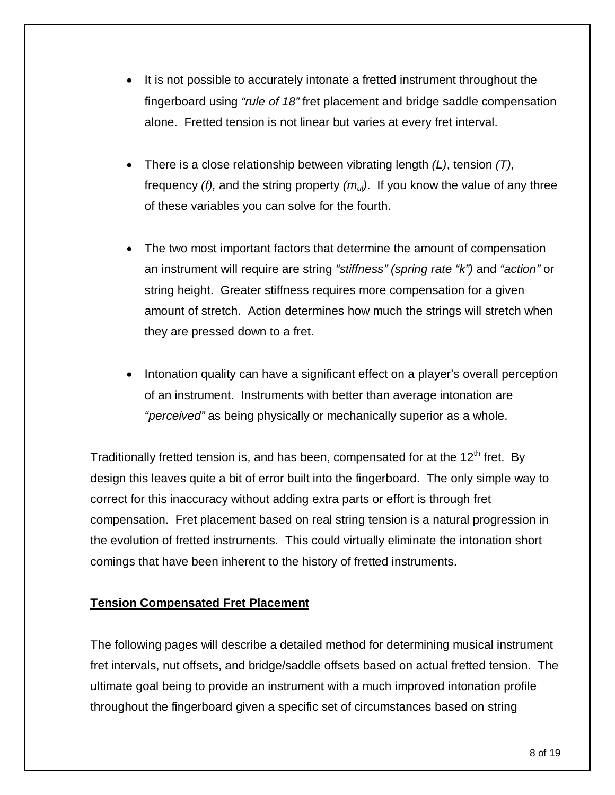- It is not possible to accurately intonate a fretted instrument throughout the fingerboard using *"rule of 18"* fret placement and bridge saddle compensation alone. Fretted tension is not linear but varies at every fret interval.
- There is a close relationship between vibrating length *(L)*, tension *(T)*, frequency *(f),* and the string property *(mul)*. If you know the value of any three of these variables you can solve for the fourth.
- The two most important factors that determine the amount of compensation an instrument will require are string *"stiffness" (spring rate "k")* and *"action"* or string height. Greater stiffness requires more compensation for a given amount of stretch. Action determines how much the strings will stretch when they are pressed down to a fret.
- Intonation quality can have a significant effect on a player's overall perception of an instrument. Instruments with better than average intonation are *"perceived"* as being physically or mechanically superior as a whole.

Traditionally fretted tension is, and has been, compensated for at the  $12<sup>th</sup>$  fret. By design this leaves quite a bit of error built into the fingerboard. The only simple way to correct for this inaccuracy without adding extra parts or effort is through fret compensation. Fret placement based on real string tension is a natural progression in the evolution of fretted instruments. This could virtually eliminate the intonation short comings that have been inherent to the history of fretted instruments.

## **Tension Compensated Fret Placement**

The following pages will describe a detailed method for determining musical instrument fret intervals, nut offsets, and bridge/saddle offsets based on actual fretted tension. The ultimate goal being to provide an instrument with a much improved intonation profile throughout the fingerboard given a specific set of circumstances based on string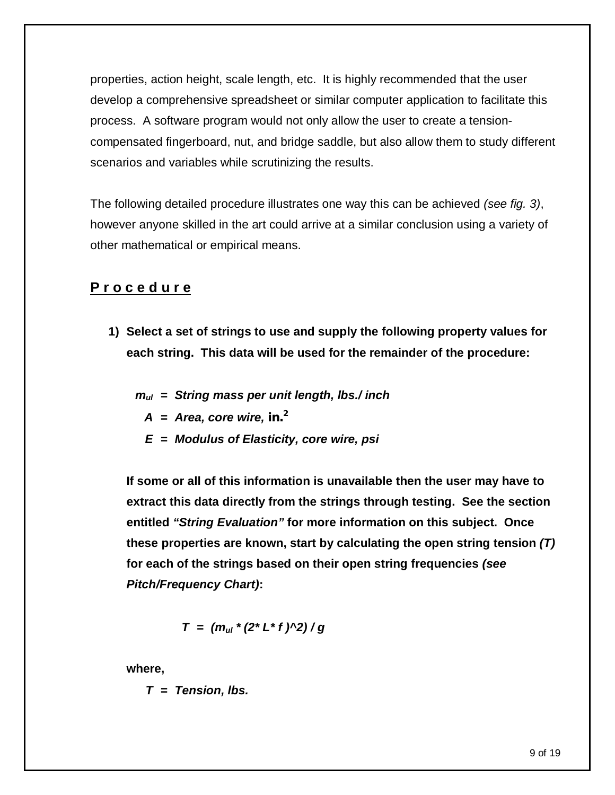properties, action height, scale length, etc. It is highly recommended that the user develop a comprehensive spreadsheet or similar computer application to facilitate this process. A software program would not only allow the user to create a tensioncompensated fingerboard, nut, and bridge saddle, but also allow them to study different scenarios and variables while scrutinizing the results.

The following detailed procedure illustrates one way this can be achieved *(see fig. 3)*, however anyone skilled in the art could arrive at a similar conclusion using a variety of other mathematical or empirical means.

# **P r o c e d u r e**

- **1) Select a set of strings to use and supply the following property values for each string. This data will be used for the remainder of the procedure:**
	- *mul = String mass per unit length, lbs./ inch*
		- $A = Area$ , core wire, in.<sup>2</sup>
		- *E = Modulus of Elasticity, core wire, psi*

**If some or all of this information is unavailable then the user may have to extract this data directly from the strings through testing. See the section entitled** *"String Evaluation"* **for more information on this subject. Once these properties are known, start by calculating the open string tension** *(T)* **for each of the strings based on their open string frequencies** *(see Pitch/Frequency Chart)***:**

$$
T = (m_{ul} * (2 * L * f) \land 2) / g
$$

**where,**

*T = Tension, lbs.*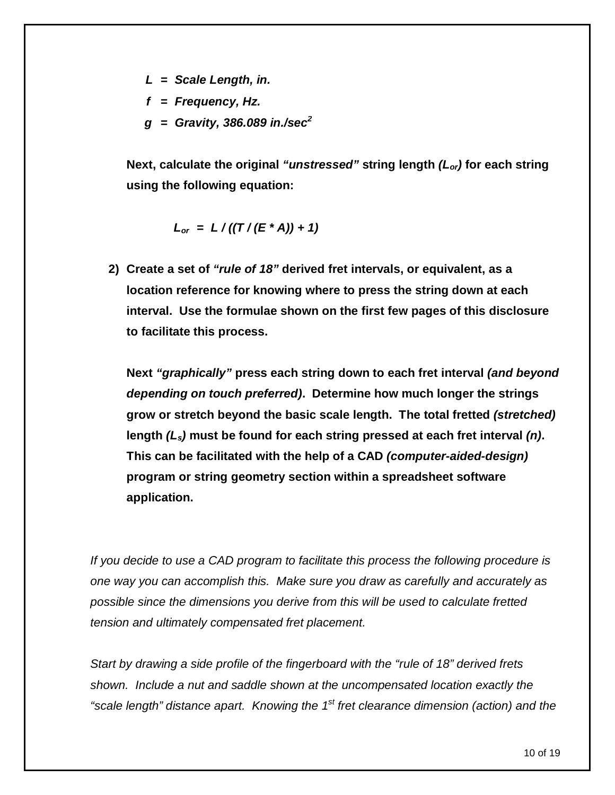- *L = Scale Length, in.*
- *f = Frequency, Hz.*
- *g = Gravity, 386.089 in./sec<sup>2</sup>*

**Next, calculate the original** *"unstressed"* **string length** *(Lor)* **for each string using the following equation:**

$$
L_{\text{or}} = L / ((T / (E \cdot A)) + 1)
$$

**2) Create a set of** *"rule of 18"* **derived fret intervals, or equivalent, as a location reference for knowing where to press the string down at each interval. Use the formulae shown on the first few pages of this disclosure to facilitate this process.** 

**Next** *"graphically"* **press each string down to each fret interval** *(and beyond depending on touch preferred)***. Determine how much longer the strings grow or stretch beyond the basic scale length. The total fretted** *(stretched)* **length** *(Ls)* **must be found for each string pressed at each fret interval** *(n)***. This can be facilitated with the help of a CAD** *(computer-aided-design)* **program or string geometry section within a spreadsheet software application.** 

*If you decide to use a CAD program to facilitate this process the following procedure is one way you can accomplish this. Make sure you draw as carefully and accurately as possible since the dimensions you derive from this will be used to calculate fretted tension and ultimately compensated fret placement.*

*Start by drawing a side profile of the fingerboard with the "rule of 18" derived frets shown. Include a nut and saddle shown at the uncompensated location exactly the*  "scale length" distance apart. Knowing the 1<sup>st</sup> fret clearance dimension (action) and the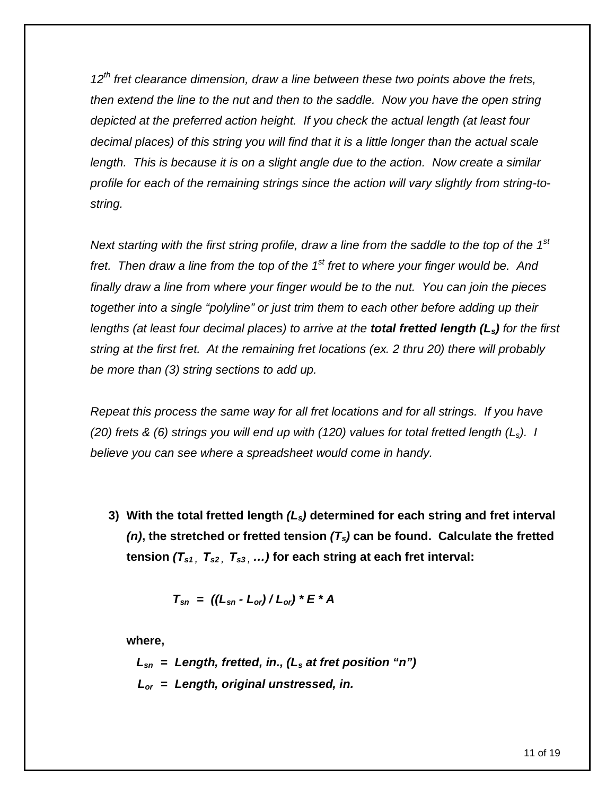*12th fret clearance dimension, draw a line between these two points above the frets, then extend the line to the nut and then to the saddle. Now you have the open string depicted at the preferred action height. If you check the actual length (at least four decimal places) of this string you will find that it is a little longer than the actual scale length. This is because it is on a slight angle due to the action. Now create a similar profile for each of the remaining strings since the action will vary slightly from string-tostring.*

Next starting with the first string profile, draw a line from the saddle to the top of the 1<sup>st</sup> *fret. Then draw a line from the top of the 1st fret to where your finger would be. And finally draw a line from where your finger would be to the nut. You can join the pieces together into a single "polyline" or just trim them to each other before adding up their lengths (at least four decimal places) to arrive at the total fretted length (Ls) for the first string at the first fret. At the remaining fret locations (ex. 2 thru 20) there will probably be more than (3) string sections to add up.* 

*Repeat this process the same way for all fret locations and for all strings. If you have (20) frets & (6) strings you will end up with (120) values for total fretted length (Ls). I believe you can see where a spreadsheet would come in handy.*

**3) With the total fretted length** *(Ls)* **determined for each string and fret interval**  $(n)$ , the stretched or fretted tension  $(T<sub>s</sub>)$  can be found. Calculate the fretted **tension**  $(T_{s1}, T_{s2}, T_{s3}, ...)$  for each string at each fret interval:

$$
T_{sn} = ((L_{sn} - L_{or})/L_{or}) * E * A
$$

**where,**

*Lsn = Length, fretted, in., (L<sup>s</sup> at fret position "n") Lor = Length, original unstressed, in.*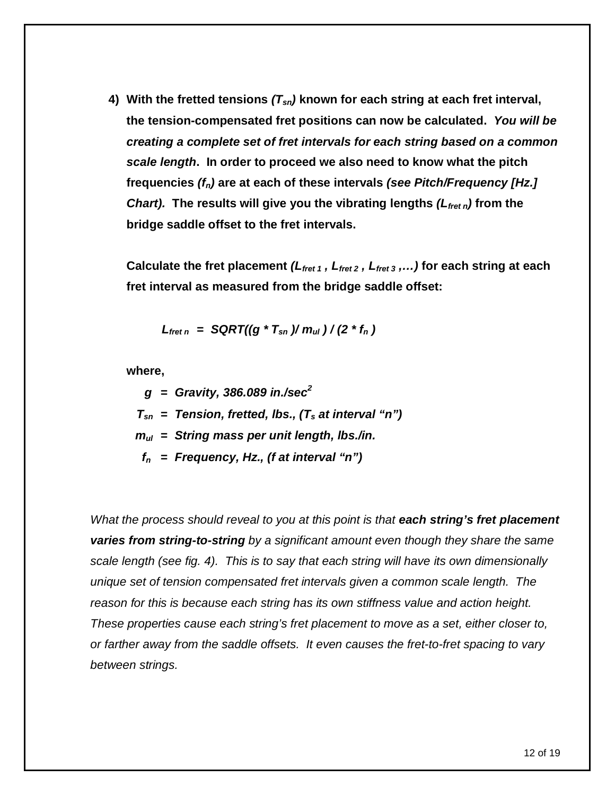**4) With the fretted tensions** *(Tsn)* **known for each string at each fret interval, the tension-compensated fret positions can now be calculated.** *You will be creating a complete set of fret intervals for each string based on a common scale length***. In order to proceed we also need to know what the pitch frequencies** *(fn)* **are at each of these intervals** *(see Pitch/Frequency [Hz.] Chart).* **The results will give you the vibrating lengths** *(Lfret n)* **from the bridge saddle offset to the fret intervals.** 

**Calculate the fret placement** *(Lfret 1 , Lfret 2 , Lfret 3 ,…)* **for each string at each fret interval as measured from the bridge saddle offset:**

$$
L_{\text{fret }n} = \text{SQRT}((g * T_{\text{sn}}) / m_{\text{ul}}) / (2 * f_n)
$$

**where,**

 *g = Gravity, 386.089 in./sec<sup>2</sup> Tsn = Tension, fretted, lbs., (T<sup>s</sup> at interval "n") mul = String mass per unit length, lbs./in. f<sup>n</sup> = Frequency, Hz., (f at interval "n")*

*What the process should reveal to you at this point is that each string's fret placement varies from string-to-string by a significant amount even though they share the same scale length (see fig. 4). This is to say that each string will have its own dimensionally unique set of tension compensated fret intervals given a common scale length. The reason for this is because each string has its own stiffness value and action height. These properties cause each string's fret placement to move as a set, either closer to, or farther away from the saddle offsets. It even causes the fret-to-fret spacing to vary between strings.*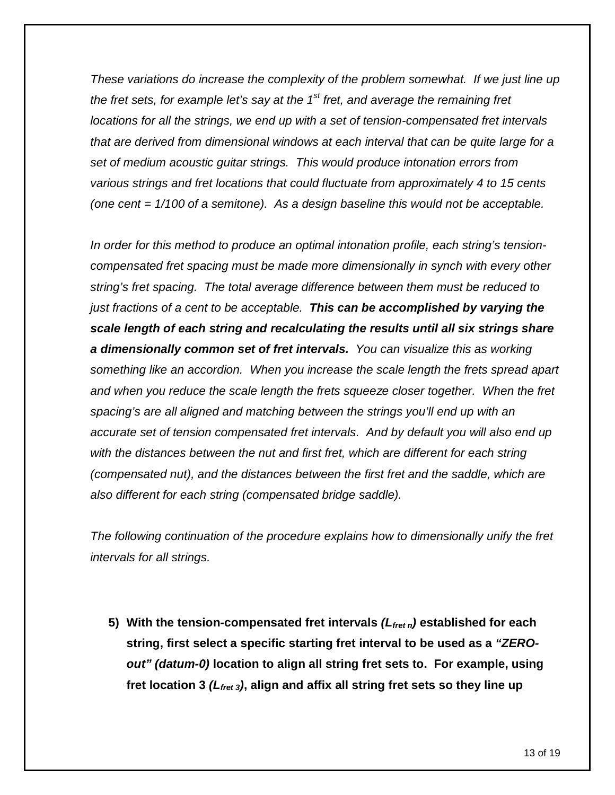*These variations do increase the complexity of the problem somewhat. If we just line up the fret sets, for example let's say at the 1st fret, and average the remaining fret locations for all the strings, we end up with a set of tension-compensated fret intervals that are derived from dimensional windows at each interval that can be quite large for a set of medium acoustic guitar strings. This would produce intonation errors from various strings and fret locations that could fluctuate from approximately 4 to 15 cents (one cent = 1/100 of a semitone). As a design baseline this would not be acceptable.*

*In order for this method to produce an optimal intonation profile, each string's tensioncompensated fret spacing must be made more dimensionally in synch with every other string's fret spacing. The total average difference between them must be reduced to just fractions of a cent to be acceptable. This can be accomplished by varying the scale length of each string and recalculating the results until all six strings share a dimensionally common set of fret intervals. You can visualize this as working something like an accordion. When you increase the scale length the frets spread apart and when you reduce the scale length the frets squeeze closer together. When the fret spacing's are all aligned and matching between the strings you'll end up with an accurate set of tension compensated fret intervals. And by default you will also end up with the distances between the nut and first fret, which are different for each string (compensated nut), and the distances between the first fret and the saddle, which are also different for each string (compensated bridge saddle).*

*The following continuation of the procedure explains how to dimensionally unify the fret intervals for all strings.*

**5) With the tension-compensated fret intervals** *(Lfret n)* **established for each string, first select a specific starting fret interval to be used as a** *"ZEROout" (datum-0)* **location to align all string fret sets to. For example, using fret location 3** *(Lfret 3)***, align and affix all string fret sets so they line up**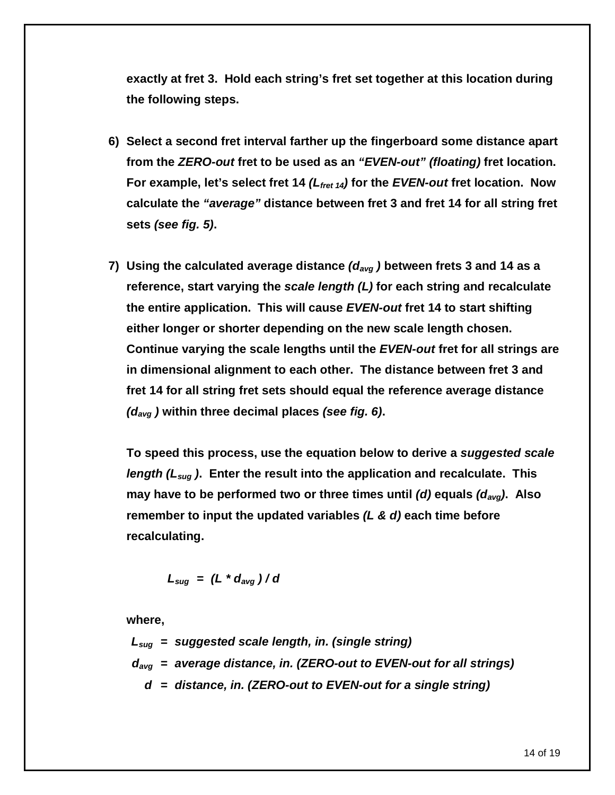**exactly at fret 3. Hold each string's fret set together at this location during the following steps.**

- **6) Select a second fret interval farther up the fingerboard some distance apart from the** *ZERO-out* **fret to be used as an** *"EVEN-out" (floating)* **fret location. For example, let's select fret 14** *(Lfret 14)* **for the** *EVEN-out* **fret location. Now calculate the** *"average"* **distance between fret 3 and fret 14 for all string fret sets** *(see fig. 5)***.**
- **7) Using the calculated average distance** *(davg )* **between frets 3 and 14 as a reference, start varying the** *scale length (L)* **for each string and recalculate the entire application. This will cause** *EVEN-out* **fret 14 to start shifting either longer or shorter depending on the new scale length chosen. Continue varying the scale lengths until the** *EVEN-out* **fret for all strings are in dimensional alignment to each other. The distance between fret 3 and fret 14 for all string fret sets should equal the reference average distance**  *(davg )* **within three decimal places** *(see fig. 6)***.**

**To speed this process, use the equation below to derive a** *suggested scale length (Lsug )***. Enter the result into the application and recalculate. This may have to be performed two or three times until** *(d)* **equals** *(davg)***. Also remember to input the updated variables** *(L & d)* **each time before recalculating.**

$$
L_{sug} = (L * d_{avg}) / d
$$

**where,**

*Lsug = suggested scale length, in. (single string) davg = average distance, in. (ZERO-out to EVEN-out for all strings) d = distance, in. (ZERO-out to EVEN-out for a single string)*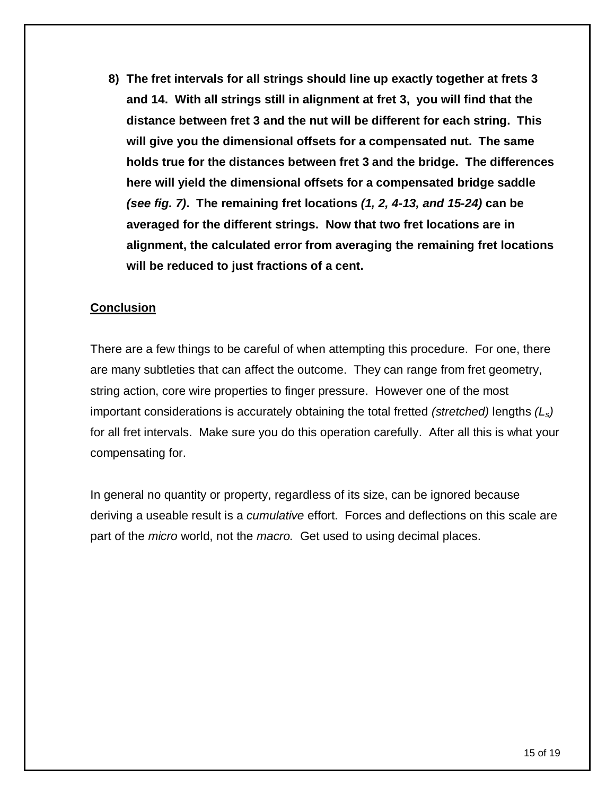**8) The fret intervals for all strings should line up exactly together at frets 3 and 14. With all strings still in alignment at fret 3, you will find that the distance between fret 3 and the nut will be different for each string. This will give you the dimensional offsets for a compensated nut. The same holds true for the distances between fret 3 and the bridge. The differences here will yield the dimensional offsets for a compensated bridge saddle** *(see fig. 7)***. The remaining fret locations** *(1, 2, 4-13, and 15-24)* **can be averaged for the different strings. Now that two fret locations are in alignment, the calculated error from averaging the remaining fret locations will be reduced to just fractions of a cent.**

#### **Conclusion**

There are a few things to be careful of when attempting this procedure. For one, there are many subtleties that can affect the outcome. They can range from fret geometry, string action, core wire properties to finger pressure. However one of the most important considerations is accurately obtaining the total fretted *(stretched)* lengths *(Ls)* for all fret intervals. Make sure you do this operation carefully. After all this is what your compensating for.

In general no quantity or property, regardless of its size, can be ignored because deriving a useable result is a *cumulative* effort. Forces and deflections on this scale are part of the *micro* world, not the *macro.* Get used to using decimal places.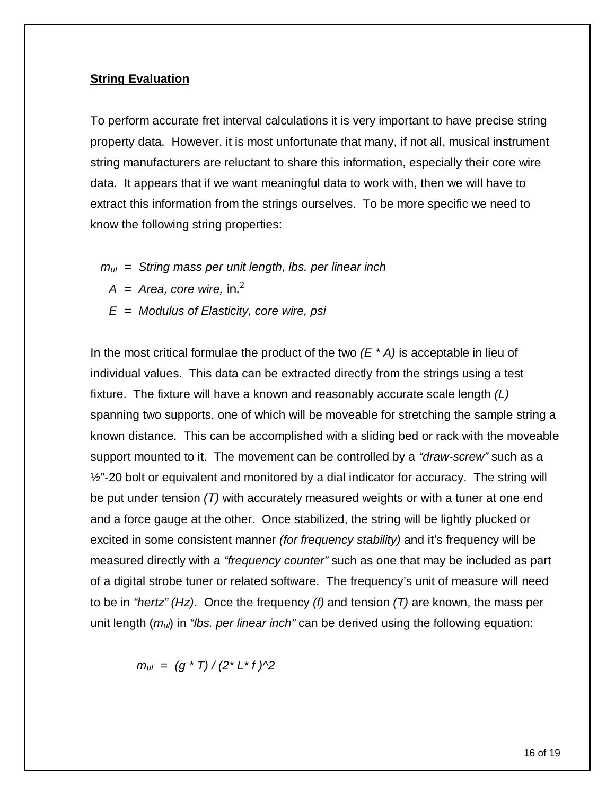#### **String Evaluation**

To perform accurate fret interval calculations it is very important to have precise string property data. However, it is most unfortunate that many, if not all, musical instrument string manufacturers are reluctant to share this information, especially their core wire data. It appears that if we want meaningful data to work with, then we will have to extract this information from the strings ourselves. To be more specific we need to know the following string properties:

- *mul = String mass per unit length, lbs. per linear inch*
	- $A = Area$ , core wire, in.<sup>2</sup>
	- *E = Modulus of Elasticity, core wire, psi*

In the most critical formulae the product of the two *(E \* A)* is acceptable in lieu of individual values. This data can be extracted directly from the strings using a test fixture. The fixture will have a known and reasonably accurate scale length *(L)* spanning two supports, one of which will be moveable for stretching the sample string a known distance. This can be accomplished with a sliding bed or rack with the moveable support mounted to it. The movement can be controlled by a *"draw-screw"* such as a  $\frac{1}{2}$ "-20 bolt or equivalent and monitored by a dial indicator for accuracy. The string will be put under tension *(T)* with accurately measured weights or with a tuner at one end and a force gauge at the other. Once stabilized, the string will be lightly plucked or excited in some consistent manner *(for frequency stability)* and it's frequency will be measured directly with a *"frequency counter"* such as one that may be included as part of a digital strobe tuner or related software. The frequency's unit of measure will need to be in *"hertz" (Hz)*. Once the frequency *(f)* and tension *(T)* are known, the mass per unit length (*mul*) in *"lbs. per linear inch"* can be derived using the following equation:

 $m_{ul} = (q * T) / (2 * L * f)$ <sup>2</sup>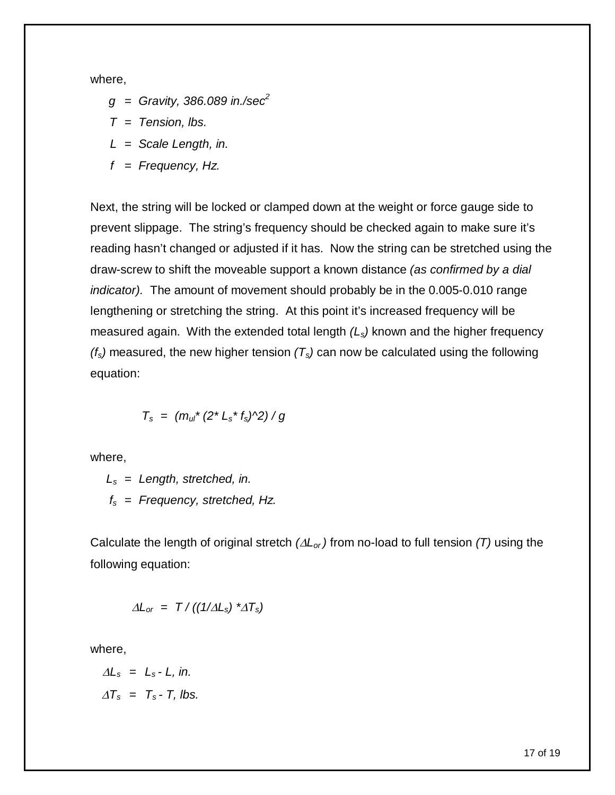where,

- *g = Gravity, 386.089 in./sec<sup>2</sup>*
- *T = Tension, lbs.*
- *L = Scale Length, in.*
- *f = Frequency, Hz.*

Next, the string will be locked or clamped down at the weight or force gauge side to prevent slippage. The string's frequency should be checked again to make sure it's reading hasn't changed or adjusted if it has. Now the string can be stretched using the draw-screw to shift the moveable support a known distance *(as confirmed by a dial indicator).* The amount of movement should probably be in the 0.005-0.010 range lengthening or stretching the string. At this point it's increased frequency will be measured again. With the extended total length *(Ls)* known and the higher frequency *(fs)* measured, the new higher tension *(Ts)* can now be calculated using the following equation:

$$
T_s = (m_{ul} * (2 * L_s * f_s) \land 2) / g
$$

where,

*L<sup>s</sup> = Length, stretched, in. f<sup>s</sup> = Frequency, stretched, Hz.*

Calculate the length of original stretch  $(\Delta L_{or})$  from no-load to full tension  $(T)$  using the following equation:

$$
\Delta L_{or} = T / ((1/\Delta L_{s})^{*}\Delta T_{s})
$$

where,

$$
\Delta L_s = L_s - L, \text{ in.}
$$
  

$$
\Delta T_s = T_s - T, \text{ lbs.}
$$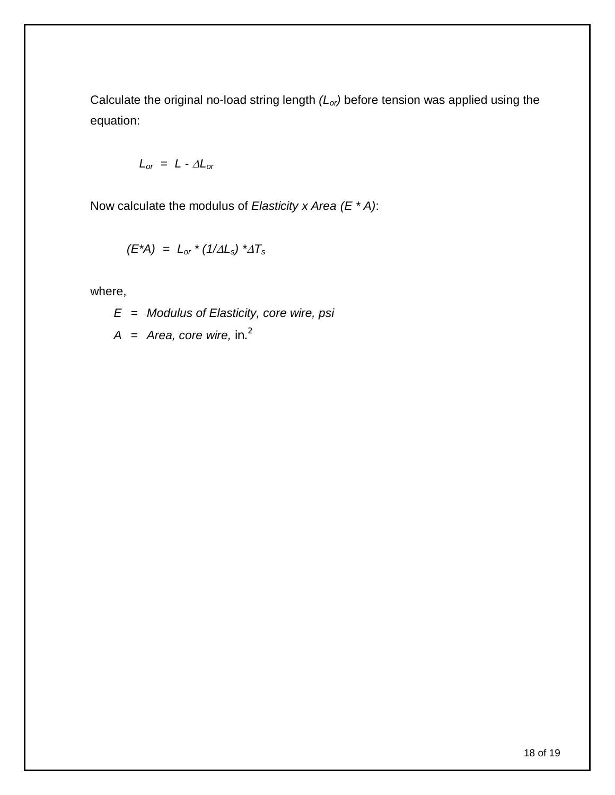Calculate the original no-load string length *(Lor)* before tension was applied using the equation:

$$
L_{or} = L - \Delta L_{or}
$$

Now calculate the modulus of *Elasticity x Area (E \* A)*:

$$
(E^*A) = L_{or} * (1/\Delta L_s) * \Delta T_s
$$

where,

*E = Modulus of Elasticity, core wire, psi*

*A = Area, core wire, in.<sup>2</sup>*